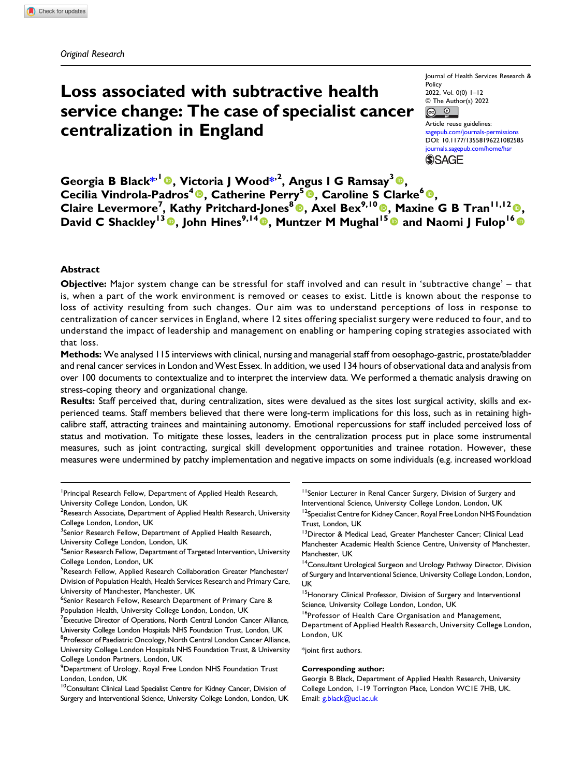# Loss associated with subtractive health service change: The case of specialist cancer centralization in England

Journal of Health Services Research & Policy 2022, Vol. 0(0) 1–12 © The Author(s) 2022  $\boxed{6}$   $\boxed{0}$ 

Article reuse guidelines: [sagepub.com/journals-permissions](https://uk.sagepub.com/en-gb/journals-permissions) DOI: [10.1177/13558196221082585](https://doi.org/10.1177/13558196221082585) [journals.sagepub.com/home/hsr](https://journals.sagepub.com/home/hsr) **SSAGE** 

Georgia B Black\*<sup>,1</sup> (0), Victoria J Wood\*<sup>,2</sup>, Angus I G Ramsay<sup>3</sup> (0), Cecilia Vindrola-Padros<sup>4</sup>®, Catherine Perry<sup>5</sup>®, Caroline S Clarke<sup>6</sup>®, Claire Levermore<sup>7</sup>, Kathy Pritchard-Jones<sup>8</sup>®, Axel Bex<sup>9,10</sup>®, Maxine G B Tran<sup>11,12</sup>®, David C Shackley<sup>13</sup> <sup>o</sup>, John Hines<sup>9,14</sup> <sup>o</sup>, Muntzer M Mughal<sup>15</sup> <sup>o</sup> and Naomi J Fulop<sup>16</sup> o

#### Abstract

Objective: Major system change can be stressful for staff involved and can result in 'subtractive change' – that is, when a part of the work environment is removed or ceases to exist. Little is known about the response to loss of activity resulting from such changes. Our aim was to understand perceptions of loss in response to centralization of cancer services in England, where 12 sites offering specialist surgery were reduced to four, and to understand the impact of leadership and management on enabling or hampering coping strategies associated with that loss.

Methods: We analysed 115 interviews with clinical, nursing and managerial staff from oesophago-gastric, prostate/bladder and renal cancer services in London and West Essex. In addition, we used 134 hours of observational data and analysis from over 100 documents to contextualize and to interpret the interview data. We performed a thematic analysis drawing on stress-coping theory and organizational change.

Results: Staff perceived that, during centralization, sites were devalued as the sites lost surgical activity, skills and experienced teams. Staff members believed that there were long-term implications for this loss, such as in retaining highcalibre staff, attracting trainees and maintaining autonomy. Emotional repercussions for staff included perceived loss of status and motivation. To mitigate these losses, leaders in the centralization process put in place some instrumental measures, such as joint contracting, surgical skill development opportunities and trainee rotation. However, these measures were undermined by patchy implementation and negative impacts on some individuals (e.g. increased workload

- <sup>1</sup> Principal Research Fellow, Department of Applied Health Research, University College London, London, UK
- $^{2}$ Research Associate, Department of Applied Health Research, University College London, London, UK
- <sup>3</sup> Senior Research Fellow, Department of Applied Health Research,

- <sup>4</sup>Senior Research Fellow, Department of Targeted Intervention, University College London, London, UK
- <sup>5</sup>Research Fellow, Applied Research Collaboration Greater Manchester/ Division of Population Health, Health Services Research and Primary Care, University of Manchester, Manchester, UK
- <sup>6</sup>Senior Research Fellow, Research Department of Primary Care & Population Health, University College London, London, UK
- <sup>7</sup> Executive Director of Operations, North Central London Cancer Alliance, University College London Hospitals NHS Foundation Trust, London, UK
- <sup>8</sup>Professor of Paediatric Oncology, North Central London Cancer Alliance, University College London Hospitals NHS Foundation Trust, & University College London Partners, London, UK
- <sup>9</sup> Department of Urology, Royal Free London NHS Foundation Trust London, London, UK
- <sup>10</sup>Consultant Clinical Lead Specialist Centre for Kidney Cancer, Division of Surgery and Interventional Science, University College London, London, UK

<sup>11</sup> Senior Lecturer in Renal Cancer Surgery, Division of Surgery and Interventional Science, University College London, London, UK

<sup>12</sup>Specialist Centre for Kidney Cancer, Royal Free London NHS Foundation Trust, London, UK

<sup>13</sup>Director & Medical Lead, Greater Manchester Cancer; Clinical Lead Manchester Academic Health Science Centre, University of Manchester, Manchester, UK

<sup>14</sup>Consultant Urological Surgeon and Urology Pathway Director, Division of Surgery and Interventional Science, University College London, London, UK

<sup>15</sup>Honorary Clinical Professor, Division of Surgery and Interventional Science, University College London, London, UK

16Professor of Health Care Organisation and Management, Department of Applied Health Research, University College London, London, UK

\*joint first authors.

#### Corresponding author:

Georgia B Black, Department of Applied Health Research, University College London, 1-19 Torrington Place, London WC1E 7HB, UK. Email: [g.black@ucl.ac.uk](mailto:g.black@ucl.ac.uk)

University College London, London, UK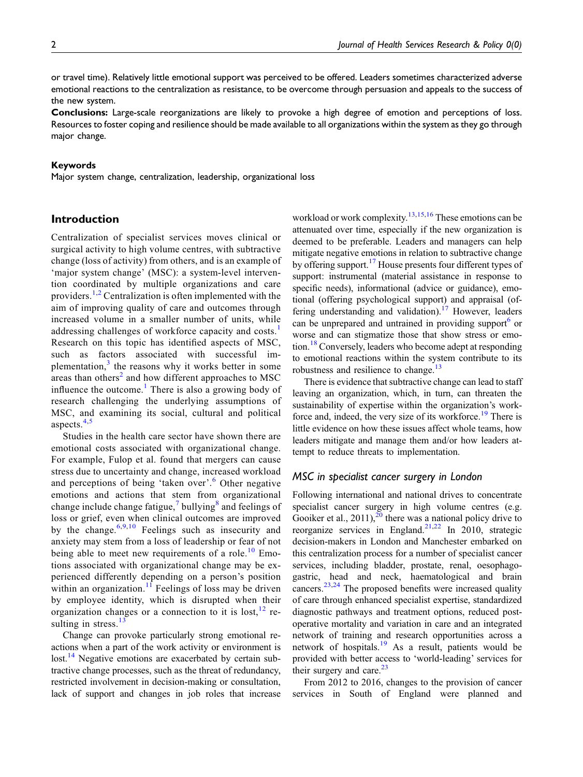or travel time). Relatively little emotional support was perceived to be offered. Leaders sometimes characterized adverse emotional reactions to the centralization as resistance, to be overcome through persuasion and appeals to the success of the new system.

Conclusions: Large-scale reorganizations are likely to provoke a high degree of emotion and perceptions of loss. Resources to foster coping and resilience should be made available to all organizations within the system as they go through major change.

#### Keywords

Major system change, centralization, leadership, organizational loss

# Introduction

Centralization of specialist services moves clinical or surgical activity to high volume centres, with subtractive change (loss of activity) from others, and is an example of 'major system change' (MSC): a system-level intervention coordinated by multiple organizations and care providers.<sup>[1](#page-10-0),[2](#page-10-1)</sup> Centralization is often implemented with the aim of improving quality of care and outcomes through increased volume in a smaller number of units, while addressing challenges of workforce capacity and costs.<sup>[1](#page-10-0)</sup> Research on this topic has identified aspects of MSC, such as factors associated with successful im-plementation,<sup>[3](#page-10-2)</sup> the reasons why it works better in some areas than others<sup>[2](#page-10-1)</sup> and how different approaches to MSC influence the outcome.<sup>[1](#page-10-0)</sup> There is also a growing body of research challenging the underlying assumptions of MSC, and examining its social, cultural and political aspects. $4,5$  $4,5$ 

Studies in the health care sector have shown there are emotional costs associated with organizational change. For example, Fulop et al. found that mergers can cause stress due to uncertainty and change, increased workload and perceptions of being 'taken over'. [6](#page-10-5) Other negative emotions and actions that stem from organizational change include change fatigue, $\frac{7}{1}$  $\frac{7}{1}$  $\frac{7}{1}$  bullying<sup>[8](#page-10-7)</sup> and feelings of loss or grief, even when clinical outcomes are improved by the change.<sup>[6](#page-10-5),[9](#page-10-8),[10](#page-10-9)</sup> Feelings such as insecurity and anxiety may stem from a loss of leadership or fear of not being able to meet new requirements of a role.<sup>[10](#page-10-9)</sup> Emotions associated with organizational change may be experienced differently depending on a person's position within an organization.<sup>[11](#page-10-10)</sup> Feelings of loss may be driven by employee identity, which is disrupted when their organization changes or a connection to it is lost,  $12$  resulting in stress. $13$ 

Change can provoke particularly strong emotional reactions when a part of the work activity or environment is lost.<sup>[14](#page-10-13)</sup> Negative emotions are exacerbated by certain subtractive change processes, such as the threat of redundancy, restricted involvement in decision-making or consultation, lack of support and changes in job roles that increase workload or work complexity.<sup>[13](#page-10-12)[,15,](#page-10-14)[16](#page-10-15)</sup> These emotions can be attenuated over time, especially if the new organization is deemed to be preferable. Leaders and managers can help mitigate negative emotions in relation to subtractive change by offering support.<sup>[17](#page-10-16)</sup> House presents four different types of support: instrumental (material assistance in response to specific needs), informational (advice or guidance), emotional (offering psychological support) and appraisal (of-fering understanding and validation).<sup>[17](#page-10-16)</sup> However, leaders can be unprepared and untrained in providing support<sup>6</sup> or worse and can stigmatize those that show stress or emotion.[18](#page-10-17) Conversely, leaders who become adept at responding to emotional reactions within the system contribute to its robustness and resilience to change.<sup>[13](#page-10-12)</sup>

There is evidence that subtractive change can lead to staff leaving an organization, which, in turn, can threaten the sustainability of expertise within the organization's work-force and, indeed, the very size of its workforce.<sup>[19](#page-10-18)</sup> There is little evidence on how these issues affect whole teams, how leaders mitigate and manage them and/or how leaders attempt to reduce threats to implementation.

#### MSC in specialist cancer surgery in London

Following international and national drives to concentrate specialist cancer surgery in high volume centres (e.g. Gooiker et al.,  $2011$  $2011$ ,  $20$  there was a national policy drive to reorganize services in England.<sup>[21,](#page-10-20)[22](#page-10-21)</sup> In 2010, strategic decision-makers in London and Manchester embarked on this centralization process for a number of specialist cancer services, including bladder, prostate, renal, oesophagogastric, head and neck, haematological and brain cancers.<sup>[23](#page-10-22)[,24](#page-10-23)</sup> The proposed benefits were increased quality of care through enhanced specialist expertise, standardized diagnostic pathways and treatment options, reduced postoperative mortality and variation in care and an integrated network of training and research opportunities across a network of hospitals.[19](#page-10-18) As a result, patients would be provided with better access to 'world-leading' services for their surgery and care. $23$ 

From 2012 to 2016, changes to the provision of cancer services in South of England were planned and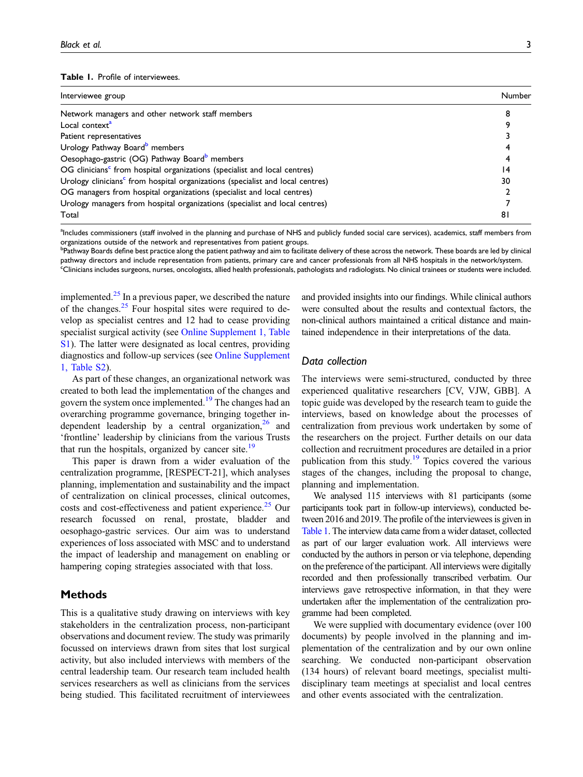#### <span id="page-2-0"></span>Table 1. Profile of interviewees.

| Interviewee group                                                                          | Number |
|--------------------------------------------------------------------------------------------|--------|
| Network managers and other network staff members                                           |        |
| Local context <sup>a</sup>                                                                 |        |
| Patient representatives                                                                    |        |
| Urology Pathway Board <sup>b</sup> members                                                 |        |
| Oesophago-gastric (OG) Pathway Board <sup>b</sup> members                                  |        |
| OG clinicians <sup>c</sup> from hospital organizations (specialist and local centres)      | 14     |
| Urology clinicians <sup>c</sup> from hospital organizations (specialist and local centres) | 30     |
| OG managers from hospital organizations (specialist and local centres)                     |        |
| Urology managers from hospital organizations (specialist and local centres)                |        |
| Total                                                                                      | 81     |

<span id="page-2-1"></span><sup>a</sup>Includes commissioners (staff involved in the planning and purchase of NHS and publicly funded social care services), academics, staff members from organizations outside of the network and representatives from patient groups.

<span id="page-2-3"></span><span id="page-2-2"></span><sup>b</sup>Pathway Boards define best practice along the patient pathway and aim to facilitate delivery of these across the network. These boards are led by clinical pathway directors and include representation from patients, primary care and cancer professionals from all NHS hospitals in the network/system. c Clinicians includes surgeons, nurses, oncologists, allied health professionals, pathologists and radiologists. No clinical trainees or students were included.

implemented. $2<sup>5</sup>$  In a previous paper, we described the nature of the changes. $25$  Four hospital sites were required to develop as specialist centres and 12 had to cease providing specialist surgical activity (see [Online Supplement 1, Table](https://journals.sagepub.com/doi/suppl/10.1177/13558196221082585) [S1](https://journals.sagepub.com/doi/suppl/10.1177/13558196221082585)). The latter were designated as local centres, providing diagnostics and follow-up services (see [Online Supplement](https://journals.sagepub.com/doi/suppl/10.1177/13558196221082585) [1, Table S2](https://journals.sagepub.com/doi/suppl/10.1177/13558196221082585)).

As part of these changes, an organizational network was created to both lead the implementation of the changes and govern the system once implemented.<sup>[19](#page-10-18)</sup> The changes had an overarching programme governance, bringing together independent leadership by a central organization,  $26$  and 'frontline' leadership by clinicians from the various Trusts that run the hospitals, organized by cancer site. $19$ 

This paper is drawn from a wider evaluation of the centralization programme, [RESPECT-21], which analyses planning, implementation and sustainability and the impact of centralization on clinical processes, clinical outcomes, costs and cost-effectiveness and patient experience.<sup>[25](#page-10-24)</sup> Our research focussed on renal, prostate, bladder and oesophago-gastric services. Our aim was to understand experiences of loss associated with MSC and to understand the impact of leadership and management on enabling or hampering coping strategies associated with that loss.

# **Methods**

This is a qualitative study drawing on interviews with key stakeholders in the centralization process, non-participant observations and document review. The study was primarily focussed on interviews drawn from sites that lost surgical activity, but also included interviews with members of the central leadership team. Our research team included health services researchers as well as clinicians from the services being studied. This facilitated recruitment of interviewees and provided insights into our findings. While clinical authors were consulted about the results and contextual factors, the non-clinical authors maintained a critical distance and maintained independence in their interpretations of the data.

# Data collection

The interviews were semi-structured, conducted by three experienced qualitative researchers [CV, VJW, GBB]. A topic guide was developed by the research team to guide the interviews, based on knowledge about the processes of centralization from previous work undertaken by some of the researchers on the project. Further details on our data collection and recruitment procedures are detailed in a prior publication from this study.<sup>[19](#page-10-18)</sup> Topics covered the various stages of the changes, including the proposal to change, planning and implementation.

We analysed 115 interviews with 81 participants (some participants took part in follow-up interviews), conducted between 2016 and 2019. The profile of the interviewees is given in [Table 1](#page-2-0). The interview data came from a wider dataset, collected as part of our larger evaluation work. All interviews were conducted by the authors in person or via telephone, depending on the preference of the participant. All interviews were digitally recorded and then professionally transcribed verbatim. Our interviews gave retrospective information, in that they were undertaken after the implementation of the centralization programme had been completed.

We were supplied with documentary evidence (over 100 documents) by people involved in the planning and implementation of the centralization and by our own online searching. We conducted non-participant observation (134 hours) of relevant board meetings, specialist multidisciplinary team meetings at specialist and local centres and other events associated with the centralization.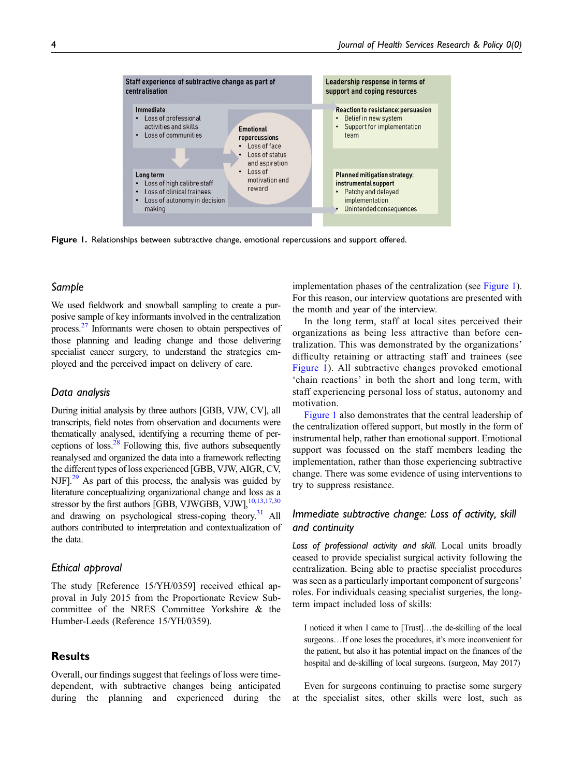

<span id="page-3-0"></span>Figure 1. Relationships between subtractive change, emotional repercussions and support offered.

## Sample

We used fieldwork and snowball sampling to create a purposive sample of key informants involved in the centralization process[.27](#page-11-0) Informants were chosen to obtain perspectives of those planning and leading change and those delivering specialist cancer surgery, to understand the strategies employed and the perceived impact on delivery of care.

#### Data analysis

During initial analysis by three authors [GBB, VJW, CV], all transcripts, field notes from observation and documents were thematically analysed, identifying a recurring theme of perceptions of loss.[28](#page-11-1) Following this, five authors subsequently reanalysed and organized the data into a framework reflecting the different types of loss experienced [GBB, VJW, AIGR, CV, NJF $]$ <sup>[29](#page-11-2)</sup> As part of this process, the analysis was guided by literature conceptualizing organizational change and loss as a stressor by the first authors [GBB, VJWGBB, VJW],<sup>10,[13](#page-10-12)[,17,](#page-10-16)[30](#page-11-3)</sup> and drawing on psychological stress-coping theory.<sup>31</sup> All authors contributed to interpretation and contextualization of the data.

# Ethical approval

The study [Reference 15/YH/0359] received ethical approval in July 2015 from the Proportionate Review Subcommittee of the NRES Committee Yorkshire & the Humber-Leeds (Reference 15/YH/0359).

# Results

Overall, our findings suggest that feelings of loss were timedependent, with subtractive changes being anticipated during the planning and experienced during the implementation phases of the centralization (see [Figure 1\)](#page-3-0). For this reason, our interview quotations are presented with the month and year of the interview.

In the long term, staff at local sites perceived their organizations as being less attractive than before centralization. This was demonstrated by the organizations' difficulty retaining or attracting staff and trainees (see [Figure 1](#page-3-0)). All subtractive changes provoked emotional 'chain reactions' in both the short and long term, with staff experiencing personal loss of status, autonomy and motivation.

[Figure 1](#page-3-0) also demonstrates that the central leadership of the centralization offered support, but mostly in the form of instrumental help, rather than emotional support. Emotional support was focussed on the staff members leading the implementation, rather than those experiencing subtractive change. There was some evidence of using interventions to try to suppress resistance.

# Immediate subtractive change: Loss of activity, skill and continuity

Loss of professional activity and skill. Local units broadly ceased to provide specialist surgical activity following the centralization. Being able to practise specialist procedures was seen as a particularly important component of surgeons' roles. For individuals ceasing specialist surgeries, the longterm impact included loss of skills:

I noticed it when I came to [Trust]…the de-skilling of the local surgeons…If one loses the procedures, it's more inconvenient for the patient, but also it has potential impact on the finances of the hospital and de-skilling of local surgeons. (surgeon, May 2017)

Even for surgeons continuing to practise some surgery at the specialist sites, other skills were lost, such as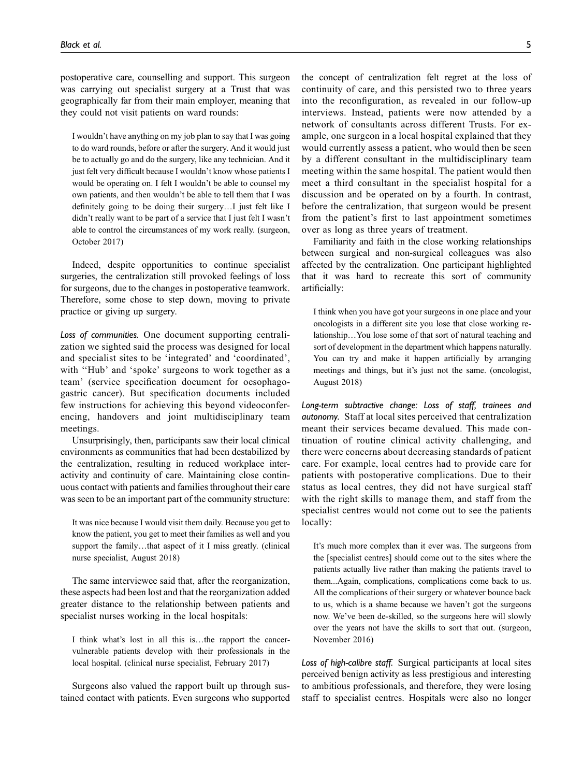postoperative care, counselling and support. This surgeon was carrying out specialist surgery at a Trust that was geographically far from their main employer, meaning that they could not visit patients on ward rounds:

I wouldn't have anything on my job plan to say that I was going to do ward rounds, before or after the surgery. And it would just be to actually go and do the surgery, like any technician. And it just felt very difficult because I wouldn't know whose patients I would be operating on. I felt I wouldn't be able to counsel my own patients, and then wouldn't be able to tell them that I was definitely going to be doing their surgery…I just felt like I didn't really want to be part of a service that I just felt I wasn't able to control the circumstances of my work really. (surgeon, October 2017)

Indeed, despite opportunities to continue specialist surgeries, the centralization still provoked feelings of loss for surgeons, due to the changes in postoperative teamwork. Therefore, some chose to step down, moving to private practice or giving up surgery.

Loss of communities. One document supporting centralization we sighted said the process was designed for local and specialist sites to be 'integrated' and 'coordinated', with "Hub' and 'spoke' surgeons to work together as a team' (service specification document for oesophagogastric cancer). But specification documents included few instructions for achieving this beyond videoconferencing, handovers and joint multidisciplinary team meetings.

Unsurprisingly, then, participants saw their local clinical environments as communities that had been destabilized by the centralization, resulting in reduced workplace interactivity and continuity of care. Maintaining close continuous contact with patients and families throughout their care was seen to be an important part of the community structure:

It was nice because I would visit them daily. Because you get to know the patient, you get to meet their families as well and you support the family...that aspect of it I miss greatly. (clinical nurse specialist, August 2018)

The same interviewee said that, after the reorganization, these aspects had been lost and that the reorganization added greater distance to the relationship between patients and specialist nurses working in the local hospitals:

I think what's lost in all this is…the rapport the cancervulnerable patients develop with their professionals in the local hospital. (clinical nurse specialist, February 2017)

Surgeons also valued the rapport built up through sustained contact with patients. Even surgeons who supported the concept of centralization felt regret at the loss of continuity of care, and this persisted two to three years into the reconfiguration, as revealed in our follow-up interviews. Instead, patients were now attended by a network of consultants across different Trusts. For example, one surgeon in a local hospital explained that they would currently assess a patient, who would then be seen by a different consultant in the multidisciplinary team meeting within the same hospital. The patient would then meet a third consultant in the specialist hospital for a discussion and be operated on by a fourth. In contrast, before the centralization, that surgeon would be present from the patient's first to last appointment sometimes over as long as three years of treatment.

Familiarity and faith in the close working relationships between surgical and non-surgical colleagues was also affected by the centralization. One participant highlighted that it was hard to recreate this sort of community artificially:

I think when you have got your surgeons in one place and your oncologists in a different site you lose that close working relationship…You lose some of that sort of natural teaching and sort of development in the department which happens naturally. You can try and make it happen artificially by arranging meetings and things, but it's just not the same. (oncologist, August 2018)

Long-term subtractive change: Loss of staff, trainees and autonomy. Staff at local sites perceived that centralization meant their services became devalued. This made continuation of routine clinical activity challenging, and there were concerns about decreasing standards of patient care. For example, local centres had to provide care for patients with postoperative complications. Due to their status as local centres, they did not have surgical staff with the right skills to manage them, and staff from the specialist centres would not come out to see the patients locally:

It's much more complex than it ever was. The surgeons from the [specialist centres] should come out to the sites where the patients actually live rather than making the patients travel to them...Again, complications, complications come back to us. All the complications of their surgery or whatever bounce back to us, which is a shame because we haven't got the surgeons now. We've been de-skilled, so the surgeons here will slowly over the years not have the skills to sort that out. (surgeon, November 2016)

Loss of high-calibre staff. Surgical participants at local sites perceived benign activity as less prestigious and interesting to ambitious professionals, and therefore, they were losing staff to specialist centres. Hospitals were also no longer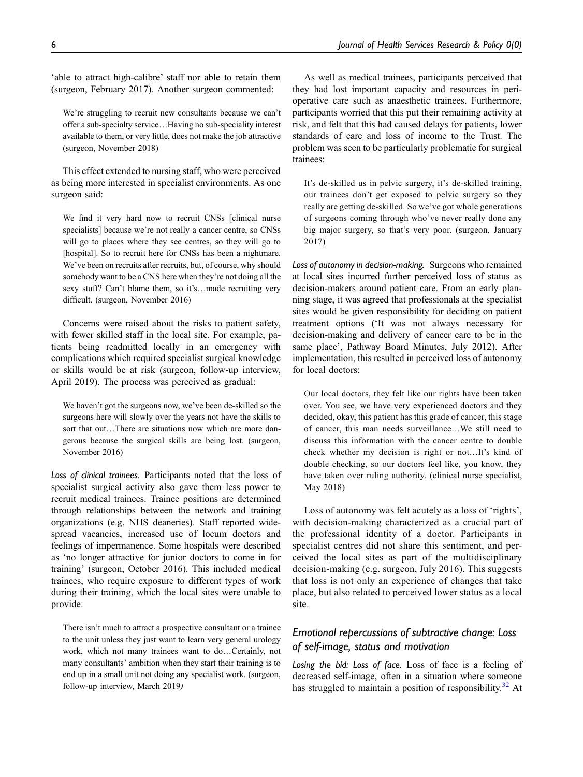'able to attract high-calibre' staff nor able to retain them (surgeon, February 2017). Another surgeon commented:

We're struggling to recruit new consultants because we can't offer a sub-specialty service…Having no sub-speciality interest available to them, or very little, does not make the job attractive (surgeon, November 2018)

This effect extended to nursing staff, who were perceived as being more interested in specialist environments. As one surgeon said:

We find it very hard now to recruit CNSs [clinical nurse specialists] because we're not really a cancer centre, so CNSs will go to places where they see centres, so they will go to [hospital]. So to recruit here for CNSs has been a nightmare. We've been on recruits after recruits, but, of course, why should somebody want to be a CNS here when they're not doing all the sexy stuff? Can't blame them, so it's...made recruiting very difficult. (surgeon, November 2016)

Concerns were raised about the risks to patient safety, with fewer skilled staff in the local site. For example, patients being readmitted locally in an emergency with complications which required specialist surgical knowledge or skills would be at risk (surgeon, follow-up interview, April 2019). The process was perceived as gradual:

We haven't got the surgeons now, we've been de-skilled so the surgeons here will slowly over the years not have the skills to sort that out…There are situations now which are more dangerous because the surgical skills are being lost. (surgeon, November 2016)

Loss of clinical trainees. Participants noted that the loss of specialist surgical activity also gave them less power to recruit medical trainees. Trainee positions are determined through relationships between the network and training organizations (e.g. NHS deaneries). Staff reported widespread vacancies, increased use of locum doctors and feelings of impermanence. Some hospitals were described as 'no longer attractive for junior doctors to come in for training' (surgeon, October 2016). This included medical trainees, who require exposure to different types of work during their training, which the local sites were unable to provide:

There isn't much to attract a prospective consultant or a trainee to the unit unless they just want to learn very general urology work, which not many trainees want to do…Certainly, not many consultants' ambition when they start their training is to end up in a small unit not doing any specialist work. (surgeon, follow-up interview, March 2019)

As well as medical trainees, participants perceived that they had lost important capacity and resources in perioperative care such as anaesthetic trainees. Furthermore, participants worried that this put their remaining activity at risk, and felt that this had caused delays for patients, lower standards of care and loss of income to the Trust. The problem was seen to be particularly problematic for surgical trainees:

It's de-skilled us in pelvic surgery, it's de-skilled training, our trainees don't get exposed to pelvic surgery so they really are getting de-skilled. So we've got whole generations of surgeons coming through who've never really done any big major surgery, so that's very poor. (surgeon, January 2017)

Loss of autonomy in decision-making. Surgeons who remained at local sites incurred further perceived loss of status as decision-makers around patient care. From an early planning stage, it was agreed that professionals at the specialist sites would be given responsibility for deciding on patient treatment options ('It was not always necessary for decision-making and delivery of cancer care to be in the same place', Pathway Board Minutes, July 2012). After implementation, this resulted in perceived loss of autonomy for local doctors:

Our local doctors, they felt like our rights have been taken over. You see, we have very experienced doctors and they decided, okay, this patient has this grade of cancer, this stage of cancer, this man needs surveillance…We still need to discuss this information with the cancer centre to double check whether my decision is right or not…It's kind of double checking, so our doctors feel like, you know, they have taken over ruling authority. (clinical nurse specialist, May 2018)

Loss of autonomy was felt acutely as a loss of 'rights', with decision-making characterized as a crucial part of the professional identity of a doctor. Participants in specialist centres did not share this sentiment, and perceived the local sites as part of the multidisciplinary decision-making (e.g. surgeon, July 2016). This suggests that loss is not only an experience of changes that take place, but also related to perceived lower status as a local site.

# Emotional repercussions of subtractive change: Loss of self-image, status and motivation

Losing the bid: Loss of face. Loss of face is a feeling of decreased self-image, often in a situation where someone has struggled to maintain a position of responsibility. $32$  At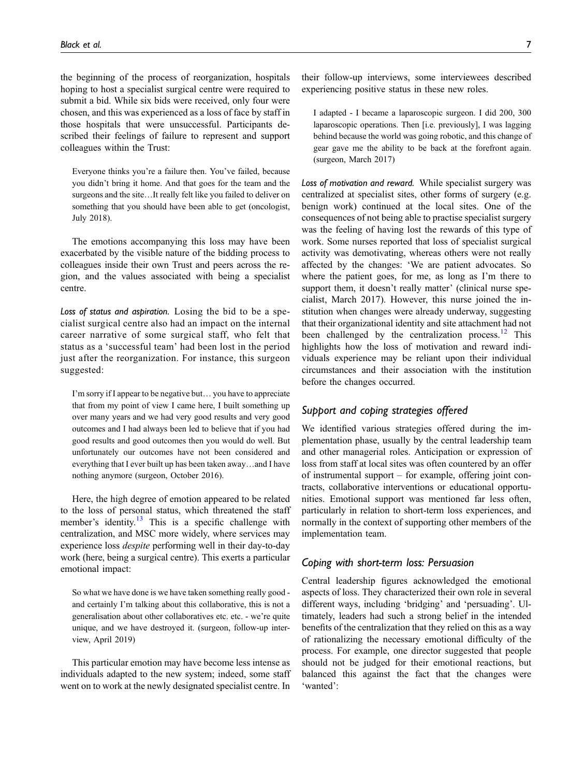the beginning of the process of reorganization, hospitals hoping to host a specialist surgical centre were required to submit a bid. While six bids were received, only four were chosen, and this was experienced as a loss of face by staff in those hospitals that were unsuccessful. Participants described their feelings of failure to represent and support colleagues within the Trust:

Everyone thinks you're a failure then. You've failed, because you didn't bring it home. And that goes for the team and the surgeons and the site…It really felt like you failed to deliver on something that you should have been able to get (oncologist, July 2018).

The emotions accompanying this loss may have been exacerbated by the visible nature of the bidding process to colleagues inside their own Trust and peers across the region, and the values associated with being a specialist centre.

Loss of status and aspiration. Losing the bid to be a specialist surgical centre also had an impact on the internal career narrative of some surgical staff, who felt that status as a 'successful team' had been lost in the period just after the reorganization. For instance, this surgeon suggested:

I'm sorry if I appear to be negative but… you have to appreciate that from my point of view I came here, I built something up over many years and we had very good results and very good outcomes and I had always been led to believe that if you had good results and good outcomes then you would do well. But unfortunately our outcomes have not been considered and everything that I ever built up has been taken away…and I have nothing anymore (surgeon, October 2016).

Here, the high degree of emotion appeared to be related to the loss of personal status, which threatened the staff member's identity.<sup>[13](#page-10-12)</sup> This is a specific challenge with centralization, and MSC more widely, where services may experience loss despite performing well in their day-to-day work (here, being a surgical centre). This exerts a particular emotional impact:

So what we have done is we have taken something really good and certainly I'm talking about this collaborative, this is not a generalisation about other collaboratives etc. etc. - we're quite unique, and we have destroyed it. (surgeon, follow-up interview, April 2019)

This particular emotion may have become less intense as individuals adapted to the new system; indeed, some staff went on to work at the newly designated specialist centre. In

their follow-up interviews, some interviewees described experiencing positive status in these new roles.

I adapted - I became a laparoscopic surgeon. I did 200, 300 laparoscopic operations. Then [i.e. previously], I was lagging behind because the world was going robotic, and this change of gear gave me the ability to be back at the forefront again. (surgeon, March 2017)

Loss of motivation and reward. While specialist surgery was centralized at specialist sites, other forms of surgery (e.g. benign work) continued at the local sites. One of the consequences of not being able to practise specialist surgery was the feeling of having lost the rewards of this type of work. Some nurses reported that loss of specialist surgical activity was demotivating, whereas others were not really affected by the changes: 'We are patient advocates. So where the patient goes, for me, as long as I'm there to support them, it doesn't really matter' (clinical nurse specialist, March 2017). However, this nurse joined the institution when changes were already underway, suggesting that their organizational identity and site attachment had not been challenged by the centralization process. $^{12}$  $^{12}$  $^{12}$  This highlights how the loss of motivation and reward individuals experience may be reliant upon their individual circumstances and their association with the institution before the changes occurred.

# Support and coping strategies offered

We identified various strategies offered during the implementation phase, usually by the central leadership team and other managerial roles. Anticipation or expression of loss from staff at local sites was often countered by an offer of instrumental support – for example, offering joint contracts, collaborative interventions or educational opportunities. Emotional support was mentioned far less often, particularly in relation to short-term loss experiences, and normally in the context of supporting other members of the implementation team.

# Coping with short-term loss: Persuasion

Central leadership figures acknowledged the emotional aspects of loss. They characterized their own role in several different ways, including 'bridging' and 'persuading'. Ultimately, leaders had such a strong belief in the intended benefits of the centralization that they relied on this as a way of rationalizing the necessary emotional difficulty of the process. For example, one director suggested that people should not be judged for their emotional reactions, but balanced this against the fact that the changes were 'wanted':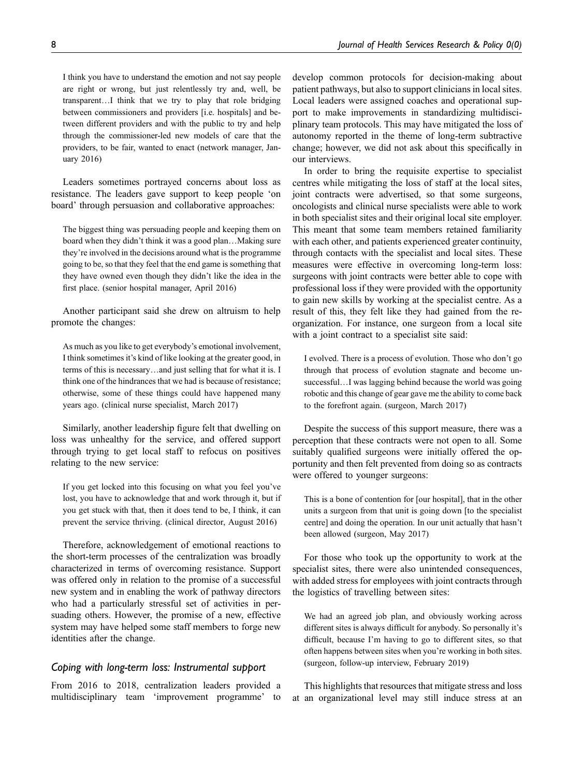I think you have to understand the emotion and not say people are right or wrong, but just relentlessly try and, well, be transparent…I think that we try to play that role bridging between commissioners and providers [i.e. hospitals] and between different providers and with the public to try and help through the commissioner-led new models of care that the providers, to be fair, wanted to enact (network manager, January 2016)

Leaders sometimes portrayed concerns about loss as resistance. The leaders gave support to keep people 'on board' through persuasion and collaborative approaches:

The biggest thing was persuading people and keeping them on board when they didn't think it was a good plan…Making sure they're involved in the decisions around what is the programme going to be, so that they feel that the end game is something that they have owned even though they didn't like the idea in the first place. (senior hospital manager, April 2016)

Another participant said she drew on altruism to help promote the changes:

As much as you like to get everybody's emotional involvement, I think sometimes it's kind of like looking at the greater good, in terms of this is necessary…and just selling that for what it is. I think one of the hindrances that we had is because of resistance; otherwise, some of these things could have happened many years ago. (clinical nurse specialist, March 2017)

Similarly, another leadership figure felt that dwelling on loss was unhealthy for the service, and offered support through trying to get local staff to refocus on positives relating to the new service:

If you get locked into this focusing on what you feel you've lost, you have to acknowledge that and work through it, but if you get stuck with that, then it does tend to be, I think, it can prevent the service thriving. (clinical director, August 2016)

Therefore, acknowledgement of emotional reactions to the short-term processes of the centralization was broadly characterized in terms of overcoming resistance. Support was offered only in relation to the promise of a successful new system and in enabling the work of pathway directors who had a particularly stressful set of activities in persuading others. However, the promise of a new, effective system may have helped some staff members to forge new identities after the change.

# Coping with long-term loss: Instrumental support

From 2016 to 2018, centralization leaders provided a multidisciplinary team 'improvement programme' to

develop common protocols for decision-making about patient pathways, but also to support clinicians in local sites. Local leaders were assigned coaches and operational support to make improvements in standardizing multidisciplinary team protocols. This may have mitigated the loss of autonomy reported in the theme of long-term subtractive change; however, we did not ask about this specifically in our interviews.

In order to bring the requisite expertise to specialist centres while mitigating the loss of staff at the local sites, joint contracts were advertised, so that some surgeons, oncologists and clinical nurse specialists were able to work in both specialist sites and their original local site employer. This meant that some team members retained familiarity with each other, and patients experienced greater continuity, through contacts with the specialist and local sites. These measures were effective in overcoming long-term loss: surgeons with joint contracts were better able to cope with professional loss if they were provided with the opportunity to gain new skills by working at the specialist centre. As a result of this, they felt like they had gained from the reorganization. For instance, one surgeon from a local site with a joint contract to a specialist site said:

I evolved. There is a process of evolution. Those who don't go through that process of evolution stagnate and become unsuccessful…I was lagging behind because the world was going robotic and this change of gear gave me the ability to come back to the forefront again. (surgeon, March 2017)

Despite the success of this support measure, there was a perception that these contracts were not open to all. Some suitably qualified surgeons were initially offered the opportunity and then felt prevented from doing so as contracts were offered to younger surgeons:

This is a bone of contention for [our hospital], that in the other units a surgeon from that unit is going down [to the specialist centre] and doing the operation. In our unit actually that hasn't been allowed (surgeon, May 2017)

For those who took up the opportunity to work at the specialist sites, there were also unintended consequences, with added stress for employees with joint contracts through the logistics of travelling between sites:

We had an agreed job plan, and obviously working across different sites is always difficult for anybody. So personally it's difficult, because I'm having to go to different sites, so that often happens between sites when you're working in both sites. (surgeon, follow-up interview, February 2019)

This highlights that resources that mitigate stress and loss at an organizational level may still induce stress at an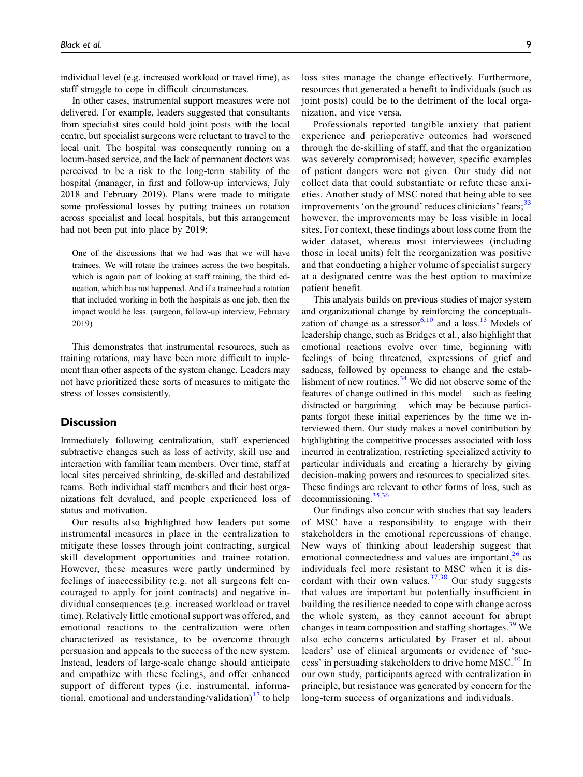individual level (e.g. increased workload or travel time), as staff struggle to cope in difficult circumstances.

In other cases, instrumental support measures were not delivered. For example, leaders suggested that consultants from specialist sites could hold joint posts with the local centre, but specialist surgeons were reluctant to travel to the local unit. The hospital was consequently running on a locum-based service, and the lack of permanent doctors was perceived to be a risk to the long-term stability of the hospital (manager, in first and follow-up interviews, July 2018 and February 2019). Plans were made to mitigate some professional losses by putting trainees on rotation across specialist and local hospitals, but this arrangement had not been put into place by 2019:

One of the discussions that we had was that we will have trainees. We will rotate the trainees across the two hospitals, which is again part of looking at staff training, the third education, which has not happened. And if a trainee had a rotation that included working in both the hospitals as one job, then the impact would be less. (surgeon, follow-up interview, February 2019)

This demonstrates that instrumental resources, such as training rotations, may have been more difficult to implement than other aspects of the system change. Leaders may not have prioritized these sorts of measures to mitigate the stress of losses consistently.

#### **Discussion**

Immediately following centralization, staff experienced subtractive changes such as loss of activity, skill use and interaction with familiar team members. Over time, staff at local sites perceived shrinking, de-skilled and destabilized teams. Both individual staff members and their host organizations felt devalued, and people experienced loss of status and motivation.

Our results also highlighted how leaders put some instrumental measures in place in the centralization to mitigate these losses through joint contracting, surgical skill development opportunities and trainee rotation. However, these measures were partly undermined by feelings of inaccessibility (e.g. not all surgeons felt encouraged to apply for joint contracts) and negative individual consequences (e.g. increased workload or travel time). Relatively little emotional support was offered, and emotional reactions to the centralization were often characterized as resistance, to be overcome through persuasion and appeals to the success of the new system. Instead, leaders of large-scale change should anticipate and empathize with these feelings, and offer enhanced support of different types (*i.e.* instrumental, informa-tional, emotional and understanding/validation)<sup>[17](#page-10-16)</sup> to help

loss sites manage the change effectively. Furthermore, resources that generated a benefit to individuals (such as joint posts) could be to the detriment of the local organization, and vice versa.

Professionals reported tangible anxiety that patient experience and perioperative outcomes had worsened through the de-skilling of staff, and that the organization was severely compromised; however, specific examples of patient dangers were not given. Our study did not collect data that could substantiate or refute these anxieties. Another study of MSC noted that being able to see improvements 'on the ground' reduces clinicians' fears;<sup>[33](#page-11-6)</sup> however, the improvements may be less visible in local sites. For context, these findings about loss come from the wider dataset, whereas most interviewees (including those in local units) felt the reorganization was positive and that conducting a higher volume of specialist surgery at a designated centre was the best option to maximize patient benefit.

This analysis builds on previous studies of major system and organizational change by reinforcing the conceptualization of change as a stressor $6,10$  $6,10$  and a loss.<sup>[13](#page-10-12)</sup> Models of leadership change, such as Bridges et al., also highlight that emotional reactions evolve over time, beginning with feelings of being threatened, expressions of grief and sadness, followed by openness to change and the establishment of new routines. $34$  We did not observe some of the features of change outlined in this model – such as feeling distracted or bargaining – which may be because participants forgot these initial experiences by the time we interviewed them. Our study makes a novel contribution by highlighting the competitive processes associated with loss incurred in centralization, restricting specialized activity to particular individuals and creating a hierarchy by giving decision-making powers and resources to specialized sites. These findings are relevant to other forms of loss, such as decommissioning.[35](#page-11-8)[,36](#page-11-9)

Our findings also concur with studies that say leaders of MSC have a responsibility to engage with their stakeholders in the emotional repercussions of change. New ways of thinking about leadership suggest that emotional connectedness and values are important, $26$  as individuals feel more resistant to MSC when it is discordant with their own values. $37,38$  $37,38$  Our study suggests that values are important but potentially insufficient in building the resilience needed to cope with change across the whole system, as they cannot account for abrupt changes in team composition and staffing shortages.<sup>[39](#page-11-12)</sup> We also echo concerns articulated by Fraser et al. about leaders' use of clinical arguments or evidence of 'suc-cess' in persuading stakeholders to drive home MSC.<sup>[40](#page-11-13)</sup> In our own study, participants agreed with centralization in principle, but resistance was generated by concern for the long-term success of organizations and individuals.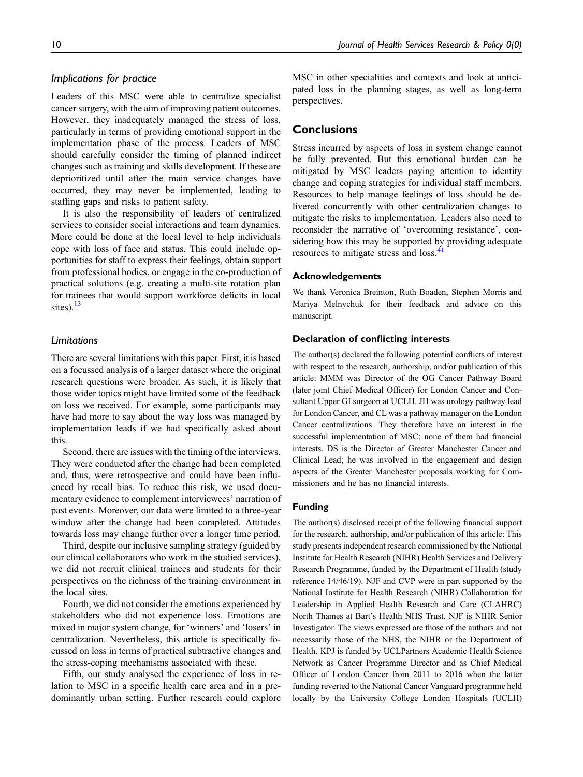# Implications for practice

Leaders of this MSC were able to centralize specialist cancer surgery, with the aim of improving patient outcomes. However, they inadequately managed the stress of loss, particularly in terms of providing emotional support in the implementation phase of the process. Leaders of MSC should carefully consider the timing of planned indirect changes such as training and skills development. If these are deprioritized until after the main service changes have occurred, they may never be implemented, leading to staffing gaps and risks to patient safety.

It is also the responsibility of leaders of centralized services to consider social interactions and team dynamics. More could be done at the local level to help individuals cope with loss of face and status. This could include opportunities for staff to express their feelings, obtain support from professional bodies, or engage in the co-production of practical solutions (e.g. creating a multi-site rotation plan for trainees that would support workforce deficits in local sites). $^{13}$  $^{13}$  $^{13}$ 

# Limitations

There are several limitations with this paper. First, it is based on a focussed analysis of a larger dataset where the original research questions were broader. As such, it is likely that those wider topics might have limited some of the feedback on loss we received. For example, some participants may have had more to say about the way loss was managed by implementation leads if we had specifically asked about this.

Second, there are issues with the timing of the interviews. They were conducted after the change had been completed and, thus, were retrospective and could have been influenced by recall bias. To reduce this risk, we used documentary evidence to complement interviewees' narration of past events. Moreover, our data were limited to a three-year window after the change had been completed. Attitudes towards loss may change further over a longer time period.

Third, despite our inclusive sampling strategy (guided by our clinical collaborators who work in the studied services), we did not recruit clinical trainees and students for their perspectives on the richness of the training environment in the local sites.

Fourth, we did not consider the emotions experienced by stakeholders who did not experience loss. Emotions are mixed in major system change, for 'winners' and 'losers' in centralization. Nevertheless, this article is specifically focussed on loss in terms of practical subtractive changes and the stress-coping mechanisms associated with these.

Fifth, our study analysed the experience of loss in relation to MSC in a specific health care area and in a predominantly urban setting. Further research could explore MSC in other specialities and contexts and look at anticipated loss in the planning stages, as well as long-term perspectives.

# **Conclusions**

Stress incurred by aspects of loss in system change cannot be fully prevented. But this emotional burden can be mitigated by MSC leaders paying attention to identity change and coping strategies for individual staff members. Resources to help manage feelings of loss should be delivered concurrently with other centralization changes to mitigate the risks to implementation. Leaders also need to reconsider the narrative of 'overcoming resistance', considering how this may be supported by providing adequate resources to mitigate stress and loss.<sup>[41](#page-11-14)</sup>

#### Acknowledgements

We thank Veronica Breinton, Ruth Boaden, Stephen Morris and Mariya Melnychuk for their feedback and advice on this manuscript.

#### Declaration of conflicting interests

The author(s) declared the following potential conflicts of interest with respect to the research, authorship, and/or publication of this article: MMM was Director of the OG Cancer Pathway Board (later joint Chief Medical Officer) for London Cancer and Consultant Upper GI surgeon at UCLH. JH was urology pathway lead for London Cancer, and CL was a pathway manager on the London Cancer centralizations. They therefore have an interest in the successful implementation of MSC; none of them had financial interests. DS is the Director of Greater Manchester Cancer and Clinical Lead; he was involved in the engagement and design aspects of the Greater Manchester proposals working for Commissioners and he has no financial interests.

#### Funding

The author(s) disclosed receipt of the following financial support for the research, authorship, and/or publication of this article: This study presents independent research commissioned by the National Institute for Health Research (NIHR) Health Services and Delivery Research Programme, funded by the Department of Health (study reference 14/46/19). NJF and CVP were in part supported by the National Institute for Health Research (NIHR) Collaboration for Leadership in Applied Health Research and Care (CLAHRC) North Thames at Bart's Health NHS Trust. NJF is NIHR Senior Investigator. The views expressed are those of the authors and not necessarily those of the NHS, the NIHR or the Department of Health. KPJ is funded by UCLPartners Academic Health Science Network as Cancer Programme Director and as Chief Medical Officer of London Cancer from 2011 to 2016 when the latter funding reverted to the National Cancer Vanguard programme held locally by the University College London Hospitals (UCLH)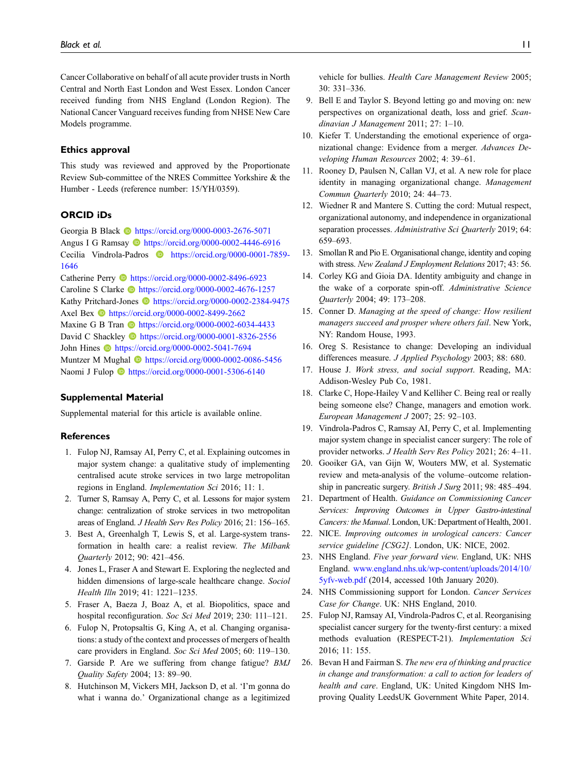Cancer Collaborative on behalf of all acute provider trusts in North Central and North East London and West Essex. London Cancer received funding from NHS England (London Region). The National Cancer Vanguard receives funding from NHSE New Care Models programme.

#### Ethics approval

This study was reviewed and approved by the Proportionate Review Sub-committee of the NRES Committee Yorkshire & the Humber - Leeds (reference number: 15/YH/0359).

# ORCID iDs

Georgia B Black **I** <https://orcid.org/0000-0003-2676-5071> Angus I G Ramsay **b** <https://orcid.org/0000-0002-4446-6916> Cecilia Vindrola-Padros [https://orcid.org/0000-0001-7859-](https://orcid.org/0000-0001-7859-1646) [1646](https://orcid.org/0000-0001-7859-1646)

Catherine Perry  $\bullet$  <https://orcid.org/0000-0002-8496-6923> Caroline S Clarke **ID** <https://orcid.org/0000-0002-4676-1257> Kathy Pritchard-Jones **b** <https://orcid.org/0000-0002-2384-9475> Axel Bex **b** <https://orcid.org/0000-0002-8499-2662> Maxine G B Tran **I** <https://orcid.org/0000-0002-6034-4433> David C Shackley **b** <https://orcid.org/0000-0001-8326-2556> John Hines **b** <https://orcid.org/0000-0002-5041-7694> Muntzer M Mughal **ID** <https://orcid.org/0000-0002-0086-5456> Naomi J Fulop **D** <https://orcid.org/0000-0001-5306-6140>

#### Supplemental Material

Supplemental material for this article is available online.

#### References

- <span id="page-10-0"></span>1. Fulop NJ, Ramsay AI, Perry C, et al. Explaining outcomes in major system change: a qualitative study of implementing centralised acute stroke services in two large metropolitan regions in England. Implementation Sci 2016; 11: 1.
- <span id="page-10-1"></span>2. Turner S, Ramsay A, Perry C, et al. Lessons for major system change: centralization of stroke services in two metropolitan areas of England. J Health Serv Res Policy 2016; 21: 156–165.
- <span id="page-10-2"></span>3. Best A, Greenhalgh T, Lewis S, et al. Large-system transformation in health care: a realist review. The Milbank Quarterly 2012; 90: 421–456.
- <span id="page-10-3"></span>4. Jones L, Fraser A and Stewart E. Exploring the neglected and hidden dimensions of large-scale healthcare change. Sociol Health Illn 2019; 41: 1221–1235.
- <span id="page-10-4"></span>5. Fraser A, Baeza J, Boaz A, et al. Biopolitics, space and hospital reconfiguration. Soc Sci Med 2019; 230: 111-121.
- <span id="page-10-5"></span>6. Fulop N, Protopsaltis G, King A, et al. Changing organisations: a study of the context and processes of mergers of health care providers in England. Soc Sci Med 2005; 60: 119–130.
- <span id="page-10-6"></span>7. Garside P. Are we suffering from change fatigue? BMJ Quality Safety 2004; 13: 89–90.
- <span id="page-10-7"></span>8. Hutchinson M, Vickers MH, Jackson D, et al. 'I'm gonna do what i wanna do.' Organizational change as a legitimized

vehicle for bullies. Health Care Management Review 2005; 30: 331–336.

- <span id="page-10-8"></span>9. Bell E and Taylor S. Beyond letting go and moving on: new perspectives on organizational death, loss and grief. Scandinavian J Management 2011; 27: 1–10.
- <span id="page-10-9"></span>10. Kiefer T. Understanding the emotional experience of organizational change: Evidence from a merger. Advances Developing Human Resources 2002; 4: 39–61.
- <span id="page-10-10"></span>11. Rooney D, Paulsen N, Callan VJ, et al. A new role for place identity in managing organizational change. Management Commun Quarterly 2010; 24: 44–73.
- <span id="page-10-11"></span>12. Wiedner R and Mantere S. Cutting the cord: Mutual respect, organizational autonomy, and independence in organizational separation processes. Administrative Sci Quarterly 2019; 64: 659–693.
- <span id="page-10-12"></span>13. Smollan R and Pio E. Organisational change, identity and coping with stress. New Zealand J Employment Relations 2017; 43: 56.
- <span id="page-10-13"></span>14. Corley KG and Gioia DA. Identity ambiguity and change in the wake of a corporate spin-off. Administrative Science Quarterly 2004; 49: 173–208.
- <span id="page-10-14"></span>15. Conner D. Managing at the speed of change: How resilient managers succeed and prosper where others fail. New York, NY: Random House, 1993.
- <span id="page-10-15"></span>16. Oreg S. Resistance to change: Developing an individual differences measure. J Applied Psychology 2003; 88: 680.
- <span id="page-10-16"></span>17. House J. Work stress, and social support. Reading, MA: Addison-Wesley Pub Co, 1981.
- <span id="page-10-17"></span>18. Clarke C, Hope-Hailey V and Kelliher C. Being real or really being someone else? Change, managers and emotion work. European Management J 2007; 25: 92–103.
- <span id="page-10-18"></span>19. Vindrola-Padros C, Ramsay AI, Perry C, et al. Implementing major system change in specialist cancer surgery: The role of provider networks. J Health Serv Res Policy 2021; 26: 4–11.
- <span id="page-10-19"></span>20. Gooiker GA, van Gijn W, Wouters MW, et al. Systematic review and meta-analysis of the volume–outcome relationship in pancreatic surgery. British J Surg 2011; 98: 485–494.
- <span id="page-10-20"></span>21. Department of Health. Guidance on Commissioning Cancer Services: Improving Outcomes in Upper Gastro-intestinal Cancers: the Manual. London, UK: Department of Health, 2001.
- <span id="page-10-21"></span>22. NICE. Improving outcomes in urological cancers: Cancer service guideline [CSG2]. London, UK: NICE, 2002.
- <span id="page-10-22"></span>23. NHS England. Five year forward view. England, UK: NHS England. [www.england.nhs.uk/wp-content/uploads/2014/10/](http://www.england.nhs.uk/wp-content/uploads/2014/10/5yfv-web.pdf) [5yfv-web.pdf](http://www.england.nhs.uk/wp-content/uploads/2014/10/5yfv-web.pdf) (2014, accessed 10th January 2020).
- <span id="page-10-23"></span>24. NHS Commissioning support for London. Cancer Services Case for Change. UK: NHS England, 2010.
- <span id="page-10-24"></span>25. Fulop NJ, Ramsay AI, Vindrola-Padros C, et al. Reorganising specialist cancer surgery for the twenty-first century: a mixed methods evaluation (RESPECT-21). Implementation Sci 2016; 11: 155.
- <span id="page-10-25"></span>26. Bevan H and Fairman S. The new era of thinking and practice in change and transformation: a call to action for leaders of health and care. England, UK: United Kingdom NHS Improving Quality LeedsUK Government White Paper, 2014.